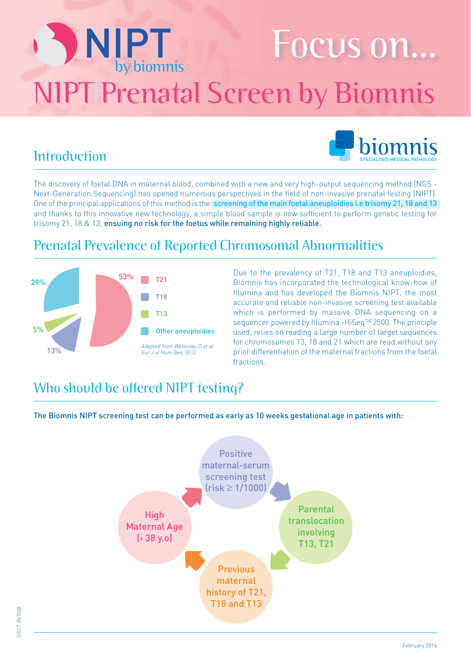# NIPT Focus on... NIPT Prenatal Screen by Biomnis



### **Introduction**

The discovery of foetal DNA in maternal blood, combined with a new and very high-output sequencing method (NGS - Next-Generation Sequencing) has opened numerous perspectives in the field of non-invasive prenatal testing (NIPT). One of the principal applications of this method is the screening of the main foetal aneuploidies i.e trisomy 21, 18 and 13 and thanks to this innovative new technology, a simple blood sample is now sufficient to perform genetic testing for trisomy 21, 18 & 13, ensuing no risk for the foetus while remaining highly reliable.

### Prenatal Prevalence of Reported Chromosomal Abnormalities



Due to the prevalency of T21, T18 and T13 aneuploidies, Biomnis has incorporated the technological know-how of Illumina and has developed the Biomnis NIPT, the most accurate and reliable non-invasive screening test available which is performed by massive DNA sequencing on a sequencer powered by Illumina -HiSeq™ 2500. The principle used, relies on reading a large number of target sequences for chromosomes 13, 18 and 21 which are read without any prior differentiation of the maternal fractions from the foetal **fractions** 

### Who should be offered NIPT testing?

The Biomnis NIPT screening test can be performed as early as 10 weeks gestational age in patients with: